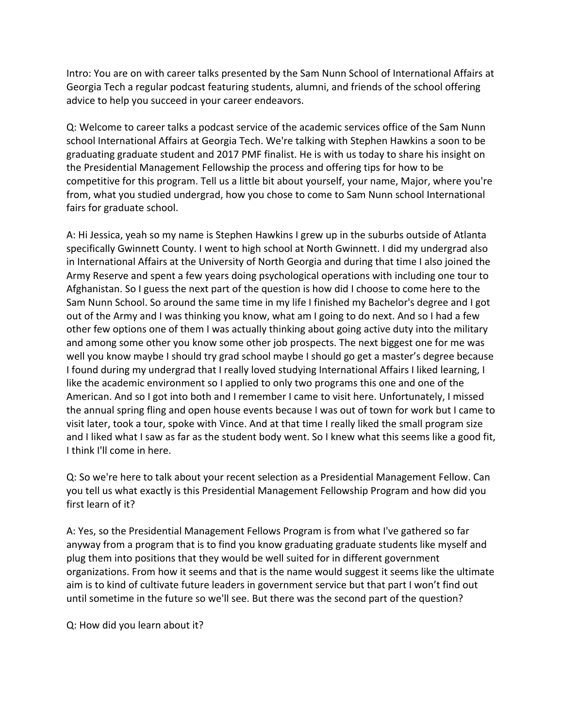Intro: You are on with career talks presented by the Sam Nunn School of International Affairs at Georgia Tech a regular podcast featuring students, alumni, and friends of the school offering advice to help you succeed in your career endeavors.

Q: Welcome to career talks a podcast service of the academic services office of the Sam Nunn school International Affairs at Georgia Tech. We're talking with Stephen Hawkins a soon to be graduating graduate student and 2017 PMF finalist. He is with us today to share his insight on the Presidential Management Fellowship the process and offering tips for how to be competitive for this program. Tell us a little bit about yourself, your name, Major, where you're from, what you studied undergrad, how you chose to come to Sam Nunn school International fairs for graduate school.

A: Hi Jessica, yeah so my name is Stephen Hawkins I grew up in the suburbs outside of Atlanta specifically Gwinnett County. I went to high school at North Gwinnett. I did my undergrad also in International Affairs at the University of North Georgia and during that time I also joined the Army Reserve and spent a few years doing psychological operations with including one tour to Afghanistan. So I guess the next part of the question is how did I choose to come here to the Sam Nunn School. So around the same time in my life I finished my Bachelor's degree and I got out of the Army and I was thinking you know, what am I going to do next. And so I had a few other few options one of them I was actually thinking about going active duty into the military and among some other you know some other job prospects. The next biggest one for me was well you know maybe I should try grad school maybe I should go get a master's degree because I found during my undergrad that I really loved studying International Affairs I liked learning, I like the academic environment so I applied to only two programs this one and one of the American. And so I got into both and I remember I came to visit here. Unfortunately, I missed the annual spring fling and open house events because I was out of town for work but I came to visit later, took a tour, spoke with Vince. And at that time I really liked the small program size and I liked what I saw as far as the student body went. So I knew what this seems like a good fit, I think I'll come in here.

Q: So we're here to talk about your recent selection as a Presidential Management Fellow. Can you tell us what exactly is this Presidential Management Fellowship Program and how did you first learn of it?

A: Yes, so the Presidential Management Fellows Program is from what I've gathered so far anyway from a program that is to find you know graduating graduate students like myself and plug them into positions that they would be well suited for in different government organizations. From how it seems and that is the name would suggest it seems like the ultimate aim is to kind of cultivate future leaders in government service but that part I won't find out until sometime in the future so we'll see. But there was the second part of the question?

Q: How did you learn about it?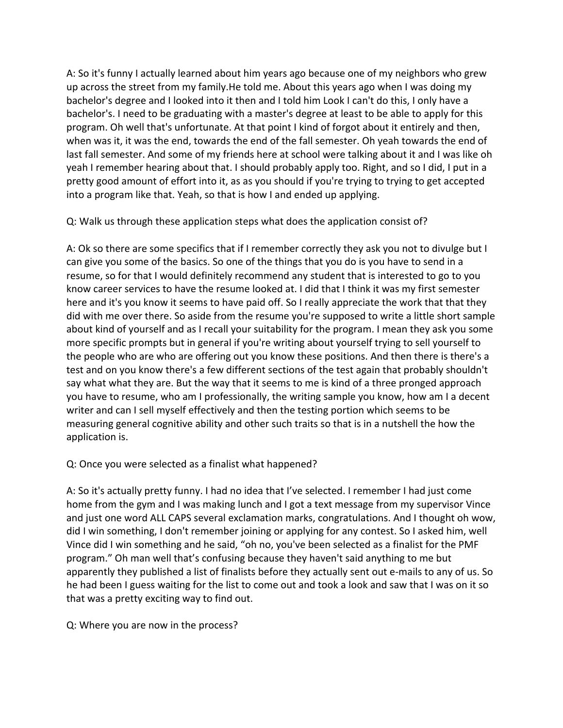A: So it's funny I actually learned about him years ago because one of my neighbors who grew up across the street from my family.He told me. About this years ago when I was doing my bachelor's degree and I looked into it then and I told him Look I can't do this, I only have a bachelor's. I need to be graduating with a master's degree at least to be able to apply for this program. Oh well that's unfortunate. At that point I kind of forgot about it entirely and then, when was it, it was the end, towards the end of the fall semester. Oh yeah towards the end of last fall semester. And some of my friends here at school were talking about it and I was like oh yeah I remember hearing about that. I should probably apply too. Right, and so I did, I put in a pretty good amount of effort into it, as as you should if you're trying to trying to get accepted into a program like that. Yeah, so that is how I and ended up applying.

Q: Walk us through these application steps what does the application consist of?

A: Ok so there are some specifics that if I remember correctly they ask you not to divulge but I can give you some of the basics. So one of the things that you do is you have to send in a resume, so for that I would definitely recommend any student that is interested to go to you know career services to have the resume looked at. I did that I think it was my first semester here and it's you know it seems to have paid off. So I really appreciate the work that that they did with me over there. So aside from the resume you're supposed to write a little short sample about kind of yourself and as I recall your suitability for the program. I mean they ask you some more specific prompts but in general if you're writing about yourself trying to sell yourself to the people who are who are offering out you know these positions. And then there is there's a test and on you know there's a few different sections of the test again that probably shouldn't say what what they are. But the way that it seems to me is kind of a three pronged approach you have to resume, who am I professionally, the writing sample you know, how am I a decent writer and can I sell myself effectively and then the testing portion which seems to be measuring general cognitive ability and other such traits so that is in a nutshell the how the application is.

## Q: Once you were selected as a finalist what happened?

A: So it's actually pretty funny. I had no idea that I've selected. I remember I had just come home from the gym and I was making lunch and I got a text message from my supervisor Vince and just one word ALL CAPS several exclamation marks, congratulations. And I thought oh wow, did I win something, I don't remember joining or applying for any contest. So I asked him, well Vince did I win something and he said, "oh no, you've been selected as a finalist for the PMF program." Oh man well that's confusing because they haven't said anything to me but apparently they published a list of finalists before they actually sent out e-mails to any of us. So he had been I guess waiting for the list to come out and took a look and saw that I was on it so that was a pretty exciting way to find out.

Q: Where you are now in the process?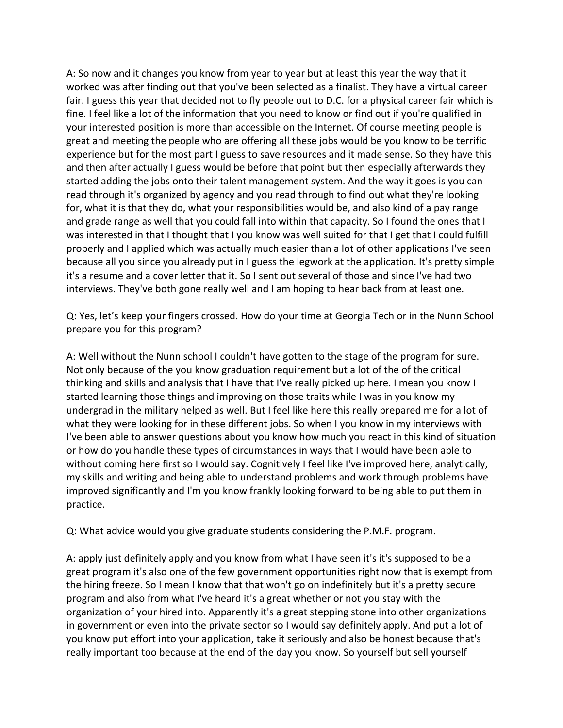A: So now and it changes you know from year to year but at least this year the way that it worked was after finding out that you've been selected as a finalist. They have a virtual career fair. I guess this year that decided not to fly people out to D.C. for a physical career fair which is fine. I feel like a lot of the information that you need to know or find out if you're qualified in your interested position is more than accessible on the Internet. Of course meeting people is great and meeting the people who are offering all these jobs would be you know to be terrific experience but for the most part I guess to save resources and it made sense. So they have this and then after actually I guess would be before that point but then especially afterwards they started adding the jobs onto their talent management system. And the way it goes is you can read through it's organized by agency and you read through to find out what they're looking for, what it is that they do, what your responsibilities would be, and also kind of a pay range and grade range as well that you could fall into within that capacity. So I found the ones that I was interested in that I thought that I you know was well suited for that I get that I could fulfill properly and I applied which was actually much easier than a lot of other applications I've seen because all you since you already put in I guess the legwork at the application. It's pretty simple it's a resume and a cover letter that it. So I sent out several of those and since I've had two interviews. They've both gone really well and I am hoping to hear back from at least one.

Q: Yes, let's keep your fingers crossed. How do your time at Georgia Tech or in the Nunn School prepare you for this program?

A: Well without the Nunn school I couldn't have gotten to the stage of the program for sure. Not only because of the you know graduation requirement but a lot of the of the critical thinking and skills and analysis that I have that I've really picked up here. I mean you know I started learning those things and improving on those traits while I was in you know my undergrad in the military helped as well. But I feel like here this really prepared me for a lot of what they were looking for in these different jobs. So when I you know in my interviews with I've been able to answer questions about you know how much you react in this kind of situation or how do you handle these types of circumstances in ways that I would have been able to without coming here first so I would say. Cognitively I feel like I've improved here, analytically, my skills and writing and being able to understand problems and work through problems have improved significantly and I'm you know frankly looking forward to being able to put them in practice. 

Q: What advice would you give graduate students considering the P.M.F. program.

A: apply just definitely apply and you know from what I have seen it's it's supposed to be a great program it's also one of the few government opportunities right now that is exempt from the hiring freeze. So I mean I know that that won't go on indefinitely but it's a pretty secure program and also from what I've heard it's a great whether or not you stay with the organization of your hired into. Apparently it's a great stepping stone into other organizations in government or even into the private sector so I would say definitely apply. And put a lot of you know put effort into your application, take it seriously and also be honest because that's really important too because at the end of the day you know. So yourself but sell yourself